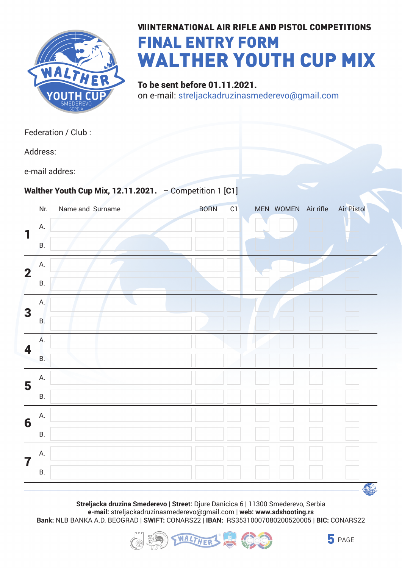

## **VIIINTERNATIONAL AIR RIFLE AND PISTOL COMPETITIONS** FINAL ENTRY FORM Walther Youth Cup Mix

To be sent before 01.11.2021. on e-mail: streljackadruzinasmederevo@gmail.com

|                         |           | Federation / Club :                                       |             |    |           |           |                   |
|-------------------------|-----------|-----------------------------------------------------------|-------------|----|-----------|-----------|-------------------|
|                         | Address:  |                                                           |             |    |           |           |                   |
|                         |           | e-mail addres:                                            |             |    |           |           |                   |
|                         |           | Walther Youth Cup Mix, 12.11.2021. $-$ Competition 1 [C1] |             |    |           |           |                   |
|                         | Nr.       | Name and Surname                                          | <b>BORN</b> | C1 | MEN WOMEN | Air rifle | <b>Air Pistol</b> |
| 1                       | А.        |                                                           |             |    |           |           |                   |
|                         | <b>B.</b> |                                                           |             |    |           |           |                   |
| $\overline{\mathbf{2}}$ | А.        |                                                           |             |    |           |           |                   |
|                         | <b>B.</b> |                                                           |             |    |           |           |                   |
| 3                       | А.        |                                                           |             |    |           |           |                   |
|                         | B.        |                                                           |             |    |           |           |                   |
| 4                       | Α.        |                                                           |             |    |           |           |                   |
|                         | Β.        |                                                           |             |    |           |           |                   |
| 5                       | А.        |                                                           |             |    |           |           |                   |
|                         | Β.        |                                                           |             |    |           |           |                   |
| 6                       | А.        |                                                           |             |    |           |           |                   |
|                         | В.        |                                                           |             |    |           |           |                   |
| 7                       | А.        |                                                           |             |    |           |           |                   |
|                         | В.        |                                                           |             |    |           |           |                   |
|                         |           |                                                           |             |    |           |           |                   |

**Streljacka druzina Smederevo** | **Street:** Djure Danicica 6 | 11300 Smederevo, Serbia **e-mail:** streljackadruzinasmederevo@gmail.com | **web: www.sdshooting.rs Bank:** NLB BANKA A.D. BEOGRAD | **SWIFT:** CONARS22 | **IBAN:** RS35310007080200520005 | **BIC:** CONARS22





WALTHER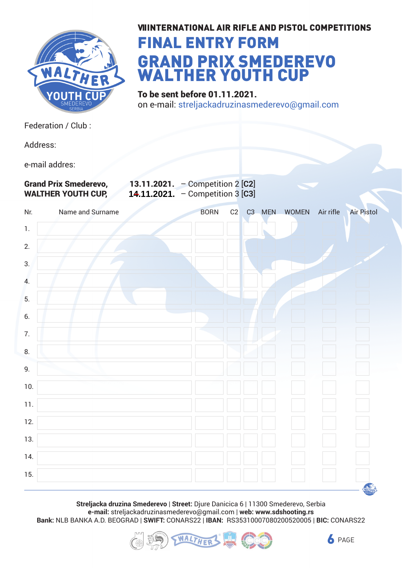

#### **VIIINTERNATIONAL AIR RIFLE AND PISTOL COMPETITIONS**

## FINAL ENTRY FORM GRAND PRIX SMEDEREVO WALTHER YOUTH CUP

To be sent before 01.11.2021. on e-mail: streljackadruzinasmederevo@gmail.com

Federation / Club :

Address:

e-mail addres:

Grand Prix Smederevo, 13.11.2021. – Competition 2 [**C2**] **WALTHER YOUTH CUP, 14.11.2021.** - Competition 3 [C3]

| Nr.              | Name and Surname | <b>BORN</b> | C2 | C3 MEN WOMEN | Air rifle | <b>Air Pistol</b> |
|------------------|------------------|-------------|----|--------------|-----------|-------------------|
| $1.$             |                  |             |    |              |           |                   |
| 2.               |                  |             |    |              |           |                   |
| 3.               |                  |             |    |              |           |                   |
| $\overline{4}$ . |                  |             |    |              |           |                   |
| 5.               |                  |             |    |              |           |                   |
| 6.               |                  |             |    |              |           |                   |
| $7.$             |                  |             |    |              |           |                   |
| 8.               |                  |             |    |              |           |                   |
| $9. \,$          |                  |             |    |              |           |                   |
| $10.$            |                  |             |    |              |           |                   |
| 11.              |                  |             |    |              |           |                   |
| $12.$            |                  |             |    |              |           |                   |
| $13.$            |                  |             |    |              |           |                   |
| $14.$            |                  |             |    |              |           |                   |
| 15.              |                  |             |    |              |           |                   |
|                  |                  |             |    |              |           | <b>WALTHER</b>    |

**Streljacka druzina Smederevo** | **Street:** Djure Danicica 6 | 11300 Smederevo, Serbia **e-mail:** streljackadruzinasmederevo@gmail.com | **web: www.sdshooting.rs Bank:** NLB BANKA A.D. BEOGRAD | **SWIFT:** CONARS22 | **IBAN:** RS35310007080200520005 | **BIC:** CONARS22